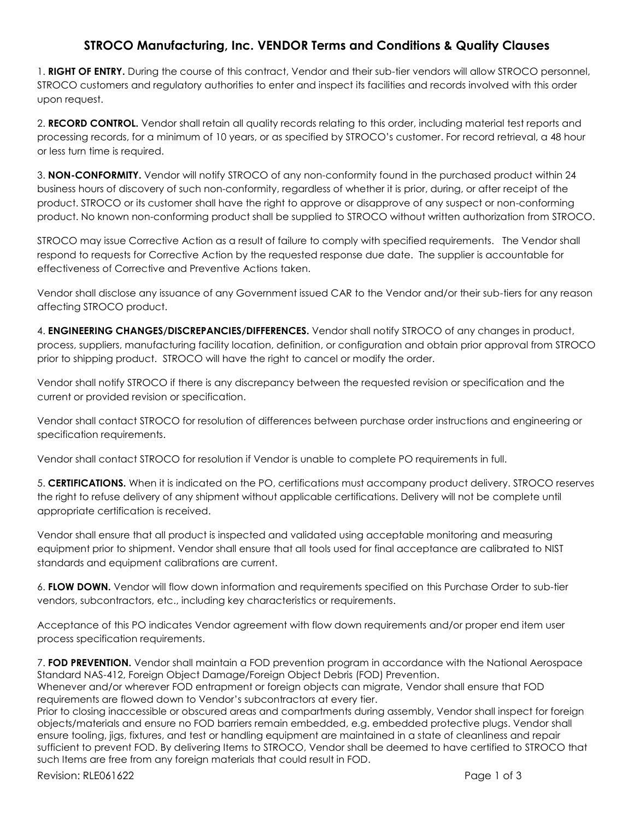## **STROCO Manufacturing, Inc. VENDOR Terms and Conditions & Quality Clauses**

1. **RIGHT OF ENTRY.** During the course of this contract, Vendor and their sub-tier vendors will allow STROCO personnel, STROCO customers and regulatory authorities to enter and inspect its facilities and records involved with this order upon request.

2. **RECORD CONTROL.** Vendor shall retain all quality records relating to this order, including material test reports and processing records, for a minimum of 10 years, or as specified by STROCO's customer. For record retrieval, a 48 hour or less turn time is required.

3. **NON-CONFORMITY.** Vendor will notify STROCO of any non-conformity found in the purchased product within 24 business hours of discovery of such non-conformity, regardless of whether it is prior, during, or after receipt of the product. STROCO or its customer shall have the right to approve or disapprove of any suspect or non-conforming product. No known non-conforming product shall be supplied to STROCO without written authorization from STROCO.

STROCO may issue Corrective Action as a result of failure to comply with specified requirements. The Vendor shall respond to requests for Corrective Action by the requested response due date. The supplier is accountable for effectiveness of Corrective and Preventive Actions taken.

Vendor shall disclose any issuance of any Government issued CAR to the Vendor and/or their sub-tiers for any reason affecting STROCO product.

4. **ENGINEERING CHANGES/DISCREPANCIES/DIFFERENCES.** Vendor shall notify STROCO of any changes in product, process, suppliers, manufacturing facility location, definition, or configuration and obtain prior approval from STROCO prior to shipping product. STROCO will have the right to cancel or modify the order.

Vendor shall notify STROCO if there is any discrepancy between the requested revision or specification and the current or provided revision or specification.

Vendor shall contact STROCO for resolution of differences between purchase order instructions and engineering or specification requirements.

Vendor shall contact STROCO for resolution if Vendor is unable to complete PO requirements in full.

5. **CERTIFICATIONS.** When it is indicated on the PO, certifications must accompany product delivery. STROCO reserves the right to refuse delivery of any shipment without applicable certifications. Delivery will not be complete until appropriate certification is received.

Vendor shall ensure that all product is inspected and validated using acceptable monitoring and measuring equipment prior to shipment. Vendor shall ensure that all tools used for final acceptance are calibrated to NIST standards and equipment calibrations are current.

6. **FLOW DOWN.** Vendor will flow down information and requirements specified on this Purchase Order to sub-tier vendors, subcontractors, etc., including key characteristics or requirements.

Acceptance of this PO indicates Vendor agreement with flow down requirements and/or proper end item user process specification requirements.

7. **FOD PREVENTION.** Vendor shall maintain a FOD prevention program in accordance with the National Aerospace Standard NAS-412, Foreign Object Damage/Foreign Object Debris (FOD) Prevention.

Whenever and/or wherever FOD entrapment or foreign objects can migrate, Vendor shall ensure that FOD requirements are flowed down to Vendor's subcontractors at every tier.

Prior to closing inaccessible or obscured areas and compartments during assembly, Vendor shall inspect for foreign objects/materials and ensure no FOD barriers remain embedded, e.g. embedded protective plugs. Vendor shall ensure tooling, jigs, fixtures, and test or handling equipment are maintained in a state of cleanliness and repair sufficient to prevent FOD. By delivering Items to STROCO, Vendor shall be deemed to have certified to STROCO that such Items are free from any foreign materials that could result in FOD.

Revision: RLE061622 Page 1 of 3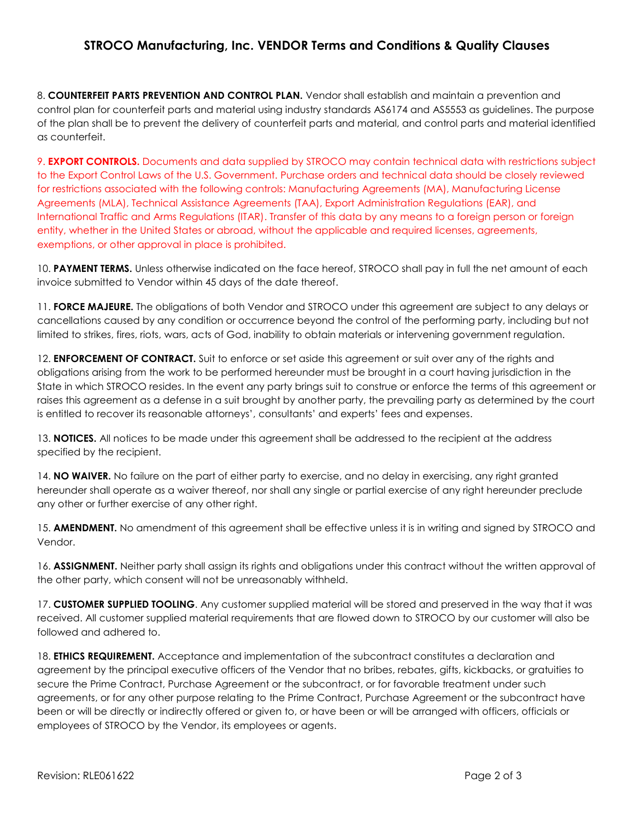## **STROCO Manufacturing, Inc. VENDOR Terms and Conditions & Quality Clauses**

8. **COUNTERFEIT PARTS PREVENTION AND CONTROL PLAN.** Vendor shall establish and maintain a prevention and control plan for counterfeit parts and material using industry standards AS6174 and AS5553 as guidelines. The purpose of the plan shall be to prevent the delivery of counterfeit parts and material, and control parts and material identified as counterfeit.

9. **EXPORT CONTROLS.** Documents and data supplied by STROCO may contain technical data with restrictions subject to the Export Control Laws of the U.S. Government. Purchase orders and technical data should be closely reviewed for restrictions associated with the following controls: Manufacturing Agreements (MA), Manufacturing License Agreements (MLA), Technical Assistance Agreements (TAA), Export Administration Regulations (EAR), and International Traffic and Arms Regulations (ITAR). Transfer of this data by any means to a foreign person or foreign entity, whether in the United States or abroad, without the applicable and required licenses, agreements, exemptions, or other approval in place is prohibited.

10. **PAYMENT TERMS.** Unless otherwise indicated on the face hereof, STROCO shall pay in full the net amount of each invoice submitted to Vendor within 45 days of the date thereof.

11. **FORCE MAJEURE.** The obligations of both Vendor and STROCO under this agreement are subject to any delays or cancellations caused by any condition or occurrence beyond the control of the performing party, including but not limited to strikes, fires, riots, wars, acts of God, inability to obtain materials or intervening government regulation.

12. **ENFORCEMENT OF CONTRACT.** Suit to enforce or set aside this agreement or suit over any of the rights and obligations arising from the work to be performed hereunder must be brought in a court having jurisdiction in the State in which STROCO resides. In the event any party brings suit to construe or enforce the terms of this agreement or raises this agreement as a defense in a suit brought by another party, the prevailing party as determined by the court is entitled to recover its reasonable attorneys', consultants' and experts' fees and expenses.

13. **NOTICES.** All notices to be made under this agreement shall be addressed to the recipient at the address specified by the recipient.

14. **NO WAIVER.** No failure on the part of either party to exercise, and no delay in exercising, any right granted hereunder shall operate as a waiver thereof, nor shall any single or partial exercise of any right hereunder preclude any other or further exercise of any other right.

15. **AMENDMENT.** No amendment of this agreement shall be effective unless it is in writing and signed by STROCO and Vendor.

16. **ASSIGNMENT.** Neither party shall assign its rights and obligations under this contract without the written approval of the other party, which consent will not be unreasonably withheld.

17. **CUSTOMER SUPPLIED TOOLING**. Any customer supplied material will be stored and preserved in the way that it was received. All customer supplied material requirements that are flowed down to STROCO by our customer will also be followed and adhered to.

18. **ETHICS REQUIREMENT.** Acceptance and implementation of the subcontract constitutes a declaration and agreement by the principal executive officers of the Vendor that no bribes, rebates, gifts, kickbacks, or gratuities to secure the Prime Contract, Purchase Agreement or the subcontract, or for favorable treatment under such agreements, or for any other purpose relating to the Prime Contract, Purchase Agreement or the subcontract have been or will be directly or indirectly offered or given to, or have been or will be arranged with officers, officials or employees of STROCO by the Vendor, its employees or agents.